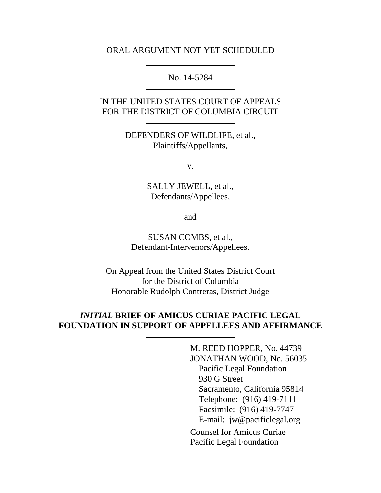#### ORAL ARGUMENT NOT YET SCHEDULED

No. 14-5284

### IN THE UNITED STATES COURT OF APPEALS FOR THE DISTRICT OF COLUMBIA CIRCUIT

DEFENDERS OF WILDLIFE, et al., Plaintiffs/Appellants,

v.

SALLY JEWELL, et al., Defendants/Appellees,

and

SUSAN COMBS, et al., Defendant-Intervenors/Appellees.

On Appeal from the United States District Court for the District of Columbia Honorable Rudolph Contreras, District Judge

## *INITIAL* **BRIEF OF AMICUS CURIAE PACIFIC LEGAL FOUNDATION IN SUPPORT OF APPELLEES AND AFFIRMANCE**

M. REED HOPPER, No. 44739 JONATHAN WOOD, No. 56035 Pacific Legal Foundation 930 G Street Sacramento, California 95814 Telephone: (916) 419-7111 Facsimile: (916) 419-7747 E-mail: jw@pacificlegal.org Counsel for Amicus Curiae Pacific Legal Foundation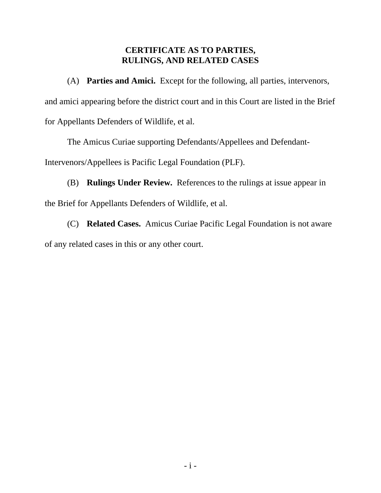# **CERTIFICATE AS TO PARTIES, RULINGS, AND RELATED CASES**

(A) **Parties and Amici.** Except for the following, all parties, intervenors, and amici appearing before the district court and in this Court are listed in the Brief for Appellants Defenders of Wildlife, et al.

The Amicus Curiae supporting Defendants/Appellees and Defendant-

Intervenors/Appellees is Pacific Legal Foundation (PLF).

(B) **Rulings Under Review.** References to the rulings at issue appear in the Brief for Appellants Defenders of Wildlife, et al.

(C) **Related Cases.** Amicus Curiae Pacific Legal Foundation is not aware of any related cases in this or any other court.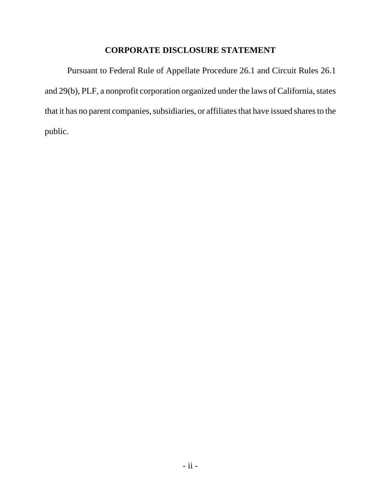## **CORPORATE DISCLOSURE STATEMENT**

Pursuant to Federal Rule of Appellate Procedure 26.1 and Circuit Rules 26.1 and 29(b), PLF, a nonprofit corporation organized under the laws of California, states that it has no parent companies, subsidiaries, or affiliates that have issued shares to the public.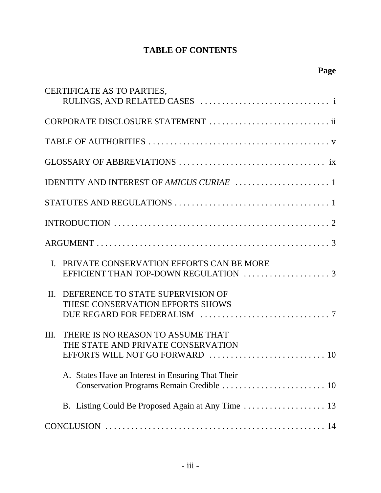# **TABLE OF CONTENTS**

| CERTIFICATE AS TO PARTIES,                                                      |
|---------------------------------------------------------------------------------|
| CORPORATE DISCLOSURE STATEMENT  ii                                              |
|                                                                                 |
|                                                                                 |
|                                                                                 |
|                                                                                 |
|                                                                                 |
|                                                                                 |
| I. PRIVATE CONSERVATION EFFORTS CAN BE MORE                                     |
| II. DEFERENCE TO STATE SUPERVISION OF<br>THESE CONSERVATION EFFORTS SHOWS       |
| THERE IS NO REASON TO ASSUME THAT<br>III.<br>THE STATE AND PRIVATE CONSERVATION |
| A. States Have an Interest in Ensuring That Their                               |
|                                                                                 |
|                                                                                 |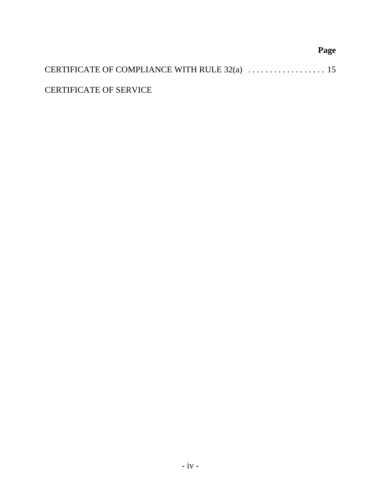# **Page** CERTIFICATE OF COMPLIANCE WITH RULE 32(a) . . . . . . . . . . . . . . . . . . 15 CERTIFICATE OF SERVICE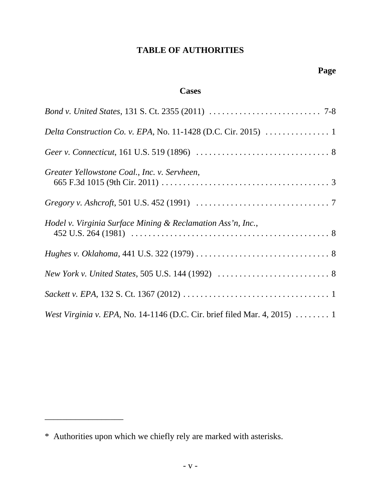# **TABLE OF AUTHORITIES**

# **Cases**

| <i>Bond v. United States, 131 S. Ct. 2355 (2011) </i> 7-8                                     |
|-----------------------------------------------------------------------------------------------|
|                                                                                               |
|                                                                                               |
| Greater Yellowstone Coal., Inc. v. Servheen,                                                  |
|                                                                                               |
| Hodel v. Virginia Surface Mining & Reclamation Ass'n, Inc.,                                   |
|                                                                                               |
|                                                                                               |
|                                                                                               |
| <i>West Virginia v. EPA, No.</i> 14-1146 (D.C. Cir. brief filed Mar. 4, 2015) $\dots \dots 1$ |

\_\_\_\_\_\_\_\_\_\_\_\_\_\_\_\_\_\_

<sup>\*</sup> Authorities upon which we chiefly rely are marked with asterisks.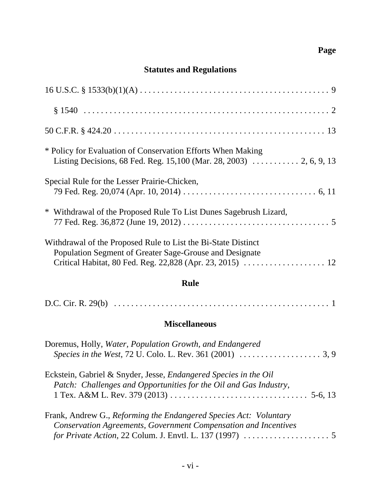# **Page**

# **Statutes and Regulations**

| * Policy for Evaluation of Conservation Efforts When Making<br>Listing Decisions, 68 Fed. Reg. 15,100 (Mar. 28, 2003)  2, 6, 9, 13    |
|---------------------------------------------------------------------------------------------------------------------------------------|
| Special Rule for the Lesser Prairie-Chicken,                                                                                          |
| * Withdrawal of the Proposed Rule To List Dunes Sagebrush Lizard,                                                                     |
| Withdrawal of the Proposed Rule to List the Bi-State Distinct<br>Population Segment of Greater Sage-Grouse and Designate              |
| <b>Rule</b>                                                                                                                           |
|                                                                                                                                       |
| <b>Miscellaneous</b>                                                                                                                  |
| Doremus, Holly, Water, Population Growth, and Endangered                                                                              |
| Eckstein, Gabriel & Snyder, Jesse, Endangered Species in the Oil<br>Patch: Challenges and Opportunities for the Oil and Gas Industry, |
| Frank, Andrew G., Reforming the Endangered Species Act: Voluntary<br>Conservation Agreements, Government Compensation and Incentives  |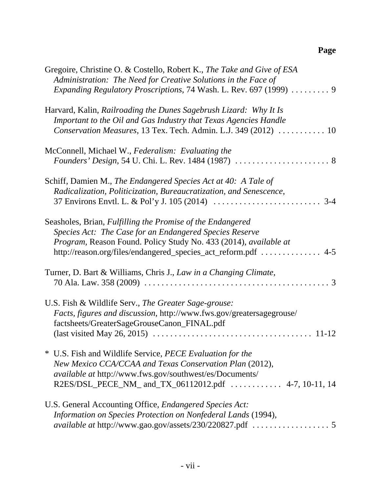# **Page**

| Gregoire, Christine O. & Costello, Robert K., The Take and Give of ESA<br>Administration: The Need for Creative Solutions in the Face of<br>Expanding Regulatory Proscriptions, 74 Wash. L. Rev. 697 (1999)  9                                              |
|-------------------------------------------------------------------------------------------------------------------------------------------------------------------------------------------------------------------------------------------------------------|
| Harvard, Kalin, Railroading the Dunes Sagebrush Lizard: Why It Is<br>Important to the Oil and Gas Industry that Texas Agencies Handle<br>Conservation Measures, 13 Tex. Tech. Admin. L.J. 349 (2012)  10                                                    |
| McConnell, Michael W., Federalism: Evaluating the                                                                                                                                                                                                           |
| Schiff, Damien M., The Endangered Species Act at 40: A Tale of<br>Radicalization, Politicization, Bureaucratization, and Senescence,                                                                                                                        |
| Seasholes, Brian, Fulfilling the Promise of the Endangered<br>Species Act: The Case for an Endangered Species Reserve<br>Program, Reason Found. Policy Study No. 433 (2014), available at<br>http://reason.org/files/endangered_species_act_reform.pdf  4-5 |
| Turner, D. Bart & Williams, Chris J., Law in a Changing Climate,                                                                                                                                                                                            |
| U.S. Fish & Wildlife Serv., The Greater Sage-grouse:<br>Facts, figures and discussion, http://www.fws.gov/greatersagegrouse/<br>factsheets/GreaterSageGrouseCanon_FINAL.pdf                                                                                 |
| * U.S. Fish and Wildlife Service, <i>PECE Evaluation for the</i><br>New Mexico CCA/CCAA and Texas Conservation Plan (2012),<br><i>available at http://www.fws.gov/southwest/es/Documents/</i><br>R2ES/DSL_PECE_NM_ and_TX_06112012.pdf  4-7, 10-11, 14      |
| U.S. General Accounting Office, Endangered Species Act:<br>Information on Species Protection on Nonfederal Lands (1994),                                                                                                                                    |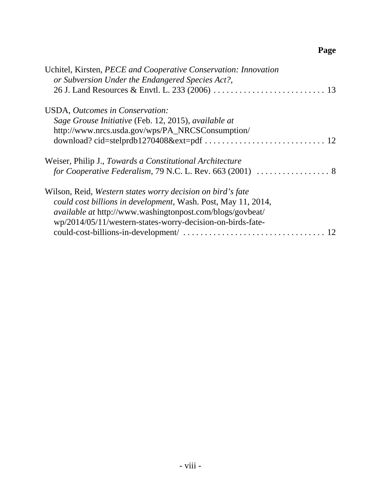# **Page**

| Uchitel, Kirsten, PECE and Cooperative Conservation: Innovation<br>or Subversion Under the Endangered Species Act?, |
|---------------------------------------------------------------------------------------------------------------------|
|                                                                                                                     |
| USDA, Outcomes in Conservation:                                                                                     |
| Sage Grouse Initiative (Feb. 12, 2015), available at                                                                |
| http://www.nrcs.usda.gov/wps/PA_NRCSConsumption/                                                                    |
|                                                                                                                     |
| Weiser, Philip J., Towards a Constitutional Architecture                                                            |
|                                                                                                                     |
| Wilson, Reid, Western states worry decision on bird's fate                                                          |
| could cost billions in development, Wash. Post, May 11, 2014,                                                       |
| available at http://www.washingtonpost.com/blogs/govbeat/                                                           |
| wp/2014/05/11/western-states-worry-decision-on-birds-fate-                                                          |
|                                                                                                                     |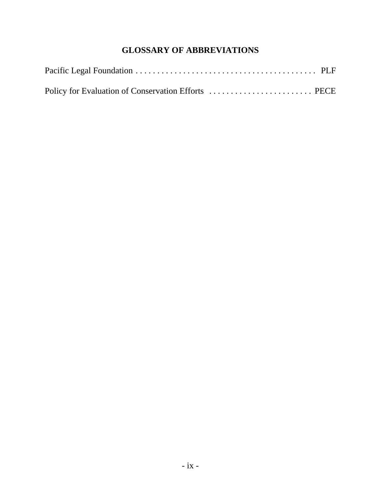# **GLOSSARY OF ABBREVIATIONS**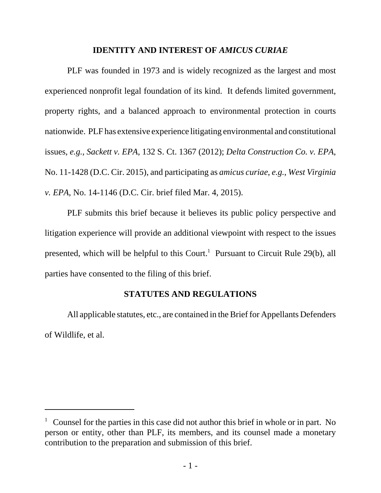#### **IDENTITY AND INTEREST OF** *AMICUS CURIAE*

PLF was founded in 1973 and is widely recognized as the largest and most experienced nonprofit legal foundation of its kind. It defends limited government, property rights, and a balanced approach to environmental protection in courts nationwide. PLF has extensive experience litigating environmental and constitutional issues, *e.g.*, *Sackett v. EPA*, 132 S. Ct. 1367 (2012); *Delta Construction Co. v. EPA*, No. 11-1428 (D.C. Cir. 2015), and participating as *amicus curiae*, *e.g.*, *West Virginia v. EPA*, No. 14-1146 (D.C. Cir. brief filed Mar. 4, 2015).

PLF submits this brief because it believes its public policy perspective and litigation experience will provide an additional viewpoint with respect to the issues presented, which will be helpful to this Court.<sup>1</sup> Pursuant to Circuit Rule 29(b), all parties have consented to the filing of this brief.

#### **STATUTES AND REGULATIONS**

All applicable statutes, etc., are contained in the Brief for Appellants Defenders of Wildlife, et al.

<sup>&</sup>lt;sup>1</sup> Counsel for the parties in this case did not author this brief in whole or in part. No person or entity, other than PLF, its members, and its counsel made a monetary contribution to the preparation and submission of this brief.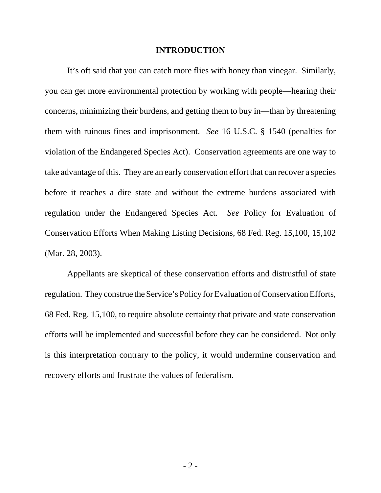#### **INTRODUCTION**

It's oft said that you can catch more flies with honey than vinegar. Similarly, you can get more environmental protection by working with people—hearing their concerns, minimizing their burdens, and getting them to buy in—than by threatening them with ruinous fines and imprisonment. *See* 16 U.S.C. § 1540 (penalties for violation of the Endangered Species Act). Conservation agreements are one way to take advantage of this. They are an early conservation effort that can recover a species before it reaches a dire state and without the extreme burdens associated with regulation under the Endangered Species Act. *See* Policy for Evaluation of Conservation Efforts When Making Listing Decisions, 68 Fed. Reg. 15,100, 15,102 (Mar. 28, 2003).

Appellants are skeptical of these conservation efforts and distrustful of state regulation. They construe the Service's Policy for Evaluation of Conservation Efforts, 68 Fed. Reg. 15,100, to require absolute certainty that private and state conservation efforts will be implemented and successful before they can be considered. Not only is this interpretation contrary to the policy, it would undermine conservation and recovery efforts and frustrate the values of federalism.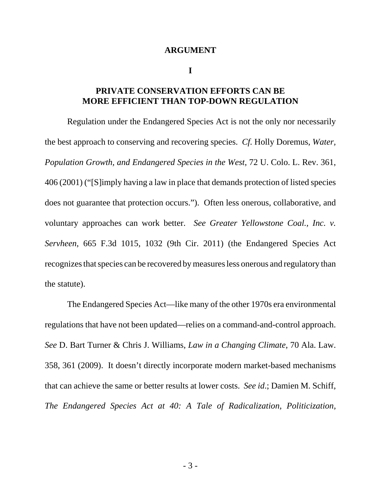#### **ARGUMENT**

**I**

### **PRIVATE CONSERVATION EFFORTS CAN BE MORE EFFICIENT THAN TOP-DOWN REGULATION**

Regulation under the Endangered Species Act is not the only nor necessarily the best approach to conserving and recovering species. *Cf.* Holly Doremus, *Water, Population Growth, and Endangered Species in the West*, 72 U. Colo. L. Rev. 361, 406 (2001) ("[S]imply having a law in place that demands protection of listed species does not guarantee that protection occurs."). Often less onerous, collaborative, and voluntary approaches can work better. *See Greater Yellowstone Coal., Inc. v. Servheen*, 665 F.3d 1015, 1032 (9th Cir. 2011) (the Endangered Species Act recognizes that species can be recovered by measures less onerous and regulatory than the statute).

The Endangered Species Act—like many of the other 1970s era environmental regulations that have not been updated—relies on a command-and-control approach. *See* D. Bart Turner & Chris J. Williams, *Law in a Changing Climate*, 70 Ala. Law. 358, 361 (2009). It doesn't directly incorporate modern market-based mechanisms that can achieve the same or better results at lower costs. *See id*.; Damien M. Schiff, *The Endangered Species Act at 40: A Tale of Radicalization, Politicization,*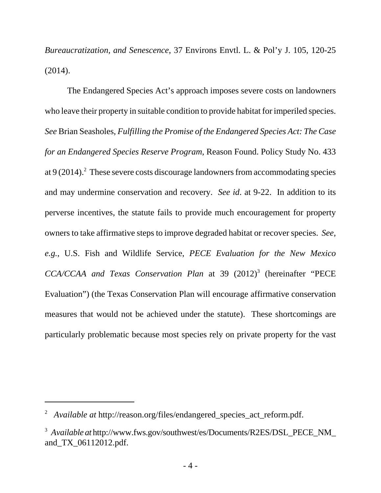*Bureaucratization, and Senescence*, 37 Environs Envtl. L. & Pol'y J. 105, 120-25 (2014).

The Endangered Species Act's approach imposes severe costs on landowners who leave their property in suitable condition to provide habitat for imperiled species. *See* Brian Seasholes, *Fulfilling the Promise of the Endangered Species Act: The Case for an Endangered Species Reserve Program*, Reason Found. Policy Study No. 433 at  $9(2014)$ .<sup>2</sup> These severe costs discourage landowners from accommodating species and may undermine conservation and recovery. *See id*. at 9-22. In addition to its perverse incentives, the statute fails to provide much encouragement for property owners to take affirmative steps to improve degraded habitat or recover species. *See, e.g.*, U.S. Fish and Wildlife Service, *PECE Evaluation for the New Mexico* CCA/CCAA and Texas Conservation Plan at 39 (2012)<sup>3</sup> (hereinafter "PECE Evaluation") (the Texas Conservation Plan will encourage affirmative conservation measures that would not be achieved under the statute). These shortcomings are particularly problematic because most species rely on private property for the vast

<sup>&</sup>lt;sup>2</sup> *Available at* http://reason.org/files/endangered\_species\_act\_reform.pdf.

<sup>&</sup>lt;sup>3</sup> Available at http://www.fws.gov/southwest/es/Documents/R2ES/DSL\_PECE\_NM\_ and\_TX\_06112012.pdf.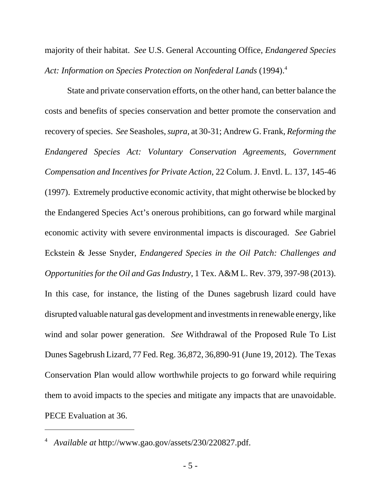majority of their habitat. *See* U.S. General Accounting Office, *Endangered Species* Act: Information on Species Protection on Nonfederal Lands (1994).<sup>4</sup>

State and private conservation efforts, on the other hand, can better balance the costs and benefits of species conservation and better promote the conservation and recovery of species. *See* Seasholes, *supra*, at 30-31; Andrew G. Frank, *Reforming the Endangered Species Act: Voluntary Conservation Agreements, Government Compensation and Incentives for Private Action*, 22 Colum. J. Envtl. L. 137, 145-46 (1997). Extremely productive economic activity, that might otherwise be blocked by the Endangered Species Act's onerous prohibitions, can go forward while marginal economic activity with severe environmental impacts is discouraged. *See* Gabriel Eckstein & Jesse Snyder, *Endangered Species in the Oil Patch: Challenges and Opportunities for the Oil and Gas Industry*, 1 Tex. A&M L. Rev. 379, 397-98 (2013). In this case, for instance, the listing of the Dunes sagebrush lizard could have disrupted valuable natural gas development and investments in renewable energy, like wind and solar power generation. *See* Withdrawal of the Proposed Rule To List Dunes Sagebrush Lizard, 77 Fed. Reg. 36,872, 36,890-91 (June 19, 2012). The Texas Conservation Plan would allow worthwhile projects to go forward while requiring them to avoid impacts to the species and mitigate any impacts that are unavoidable. PECE Evaluation at 36.

<sup>4</sup> *Available at* http://www.gao.gov/assets/230/220827.pdf.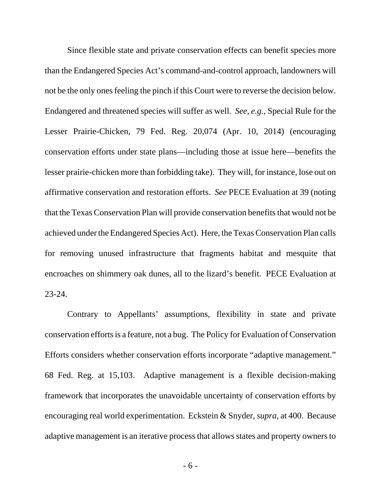Since flexible state and private conservation effects can benefit species more than the Endangered Species Act's command-and-control approach, landowners will not be the only ones feeling the pinch if this Court were to reverse the decision below. Endangered and threatened species will suffer as well. *See, e.g.*, Special Rule for the Lesser Prairie-Chicken, 79 Fed. Reg. 20,074 (Apr. 10, 2014) (encouraging conservation efforts under state plans—including those at issue here—benefits the lesser prairie-chicken more than forbidding take). They will, for instance, lose out on affirmative conservation and restoration efforts. *See* PECE Evaluation at 39 (noting that the Texas Conservation Plan will provide conservation benefits that would not be achieved under the Endangered Species Act). Here, the Texas Conservation Plan calls for removing unused infrastructure that fragments habitat and mesquite that encroaches on shimmery oak dunes, all to the lizard's benefit. PECE Evaluation at 23-24.

Contrary to Appellants' assumptions, flexibility in state and private conservation efforts is a feature, not a bug. The Policy for Evaluation of Conservation Efforts considers whether conservation efforts incorporate "adaptive management." 68 Fed. Reg. at 15,103. Adaptive management is a flexible decision-making framework that incorporates the unavoidable uncertainty of conservation efforts by encouraging real world experimentation. Eckstein & Snyder, *supra*, at 400. Because adaptive management is an iterative process that allows states and property owners to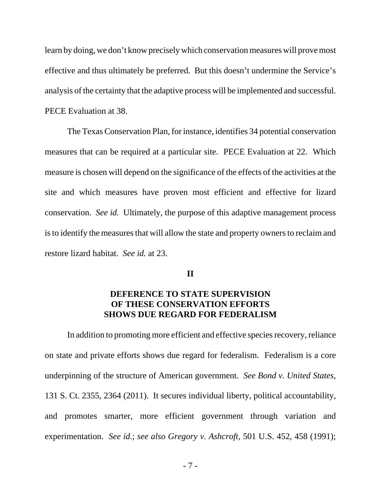learn by doing, we don't know precisely which conservation measures will prove most effective and thus ultimately be preferred. But this doesn't undermine the Service's analysis of the certainty that the adaptive process will be implemented and successful. PECE Evaluation at 38.

The Texas Conservation Plan, for instance, identifies 34 potential conservation measures that can be required at a particular site. PECE Evaluation at 22. Which measure is chosen will depend on the significance of the effects of the activities at the site and which measures have proven most efficient and effective for lizard conservation. *See id.* Ultimately, the purpose of this adaptive management process is to identify the measures that will allow the state and property owners to reclaim and restore lizard habitat. *See id.* at 23.

#### **II**

### **DEFERENCE TO STATE SUPERVISION OF THESE CONSERVATION EFFORTS SHOWS DUE REGARD FOR FEDERALISM**

In addition to promoting more efficient and effective species recovery, reliance on state and private efforts shows due regard for federalism. Federalism is a core underpinning of the structure of American government. *See Bond v. United States*, 131 S. Ct. 2355, 2364 (2011). It secures individual liberty, political accountability, and promotes smarter, more efficient government through variation and experimentation. *See id*.; *see also Gregory v. Ashcroft*, 501 U.S. 452, 458 (1991);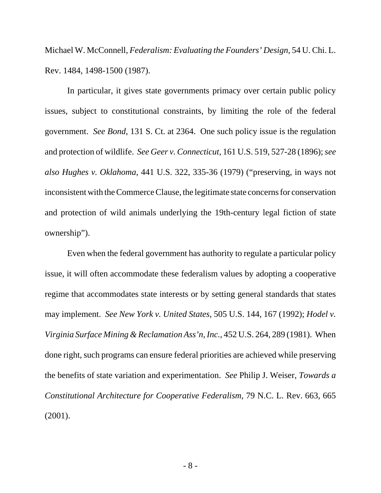Michael W. McConnell, *Federalism: Evaluating the Founders' Design*, 54 U. Chi. L. Rev. 1484, 1498-1500 (1987).

In particular, it gives state governments primacy over certain public policy issues, subject to constitutional constraints, by limiting the role of the federal government. *See Bond*, 131 S. Ct. at 2364. One such policy issue is the regulation and protection of wildlife. *See Geer v. Connecticut*, 161 U.S. 519, 527-28 (1896); *see also Hughes v. Oklahoma*, 441 U.S. 322, 335-36 (1979) ("preserving, in ways not inconsistent with the Commerce Clause, the legitimate state concerns for conservation and protection of wild animals underlying the 19th-century legal fiction of state ownership").

Even when the federal government has authority to regulate a particular policy issue, it will often accommodate these federalism values by adopting a cooperative regime that accommodates state interests or by setting general standards that states may implement. *See New York v. United States*, 505 U.S. 144, 167 (1992); *Hodel v. Virginia Surface Mining & Reclamation Ass'n, Inc.*, 452 U.S. 264, 289 (1981). When done right, such programs can ensure federal priorities are achieved while preserving the benefits of state variation and experimentation. *See* Philip J. Weiser, *Towards a Constitutional Architecture for Cooperative Federalism*, 79 N.C. L. Rev. 663, 665 (2001).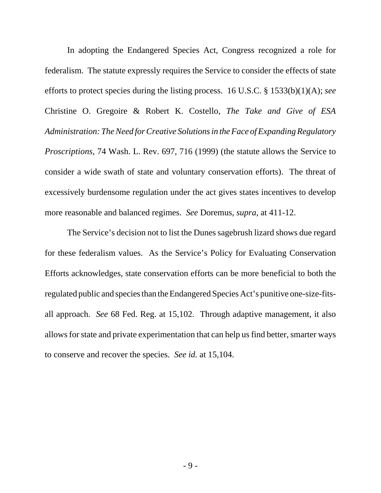In adopting the Endangered Species Act, Congress recognized a role for federalism. The statute expressly requires the Service to consider the effects of state efforts to protect species during the listing process. 16 U.S.C. § 1533(b)(1)(A); *see* Christine O. Gregoire & Robert K. Costello, *The Take and Give of ESA Administration: The Need for Creative Solutions in the Face of Expanding Regulatory Proscriptions*, 74 Wash. L. Rev. 697, 716 (1999) (the statute allows the Service to consider a wide swath of state and voluntary conservation efforts). The threat of excessively burdensome regulation under the act gives states incentives to develop more reasonable and balanced regimes. *See* Doremus, *supra*, at 411-12.

The Service's decision not to list the Dunes sagebrush lizard shows due regard for these federalism values. As the Service's Policy for Evaluating Conservation Efforts acknowledges, state conservation efforts can be more beneficial to both the regulated public and species than the Endangered Species Act's punitive one-size-fitsall approach. *See* 68 Fed. Reg. at 15,102. Through adaptive management, it also allows for state and private experimentation that can help us find better, smarter ways to conserve and recover the species. *See id.* at 15,104.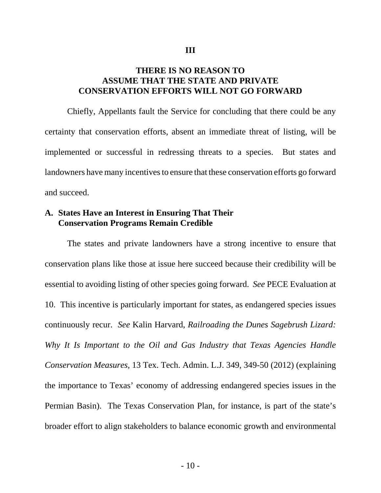#### **III**

### **THERE IS NO REASON TO ASSUME THAT THE STATE AND PRIVATE CONSERVATION EFFORTS WILL NOT GO FORWARD**

Chiefly, Appellants fault the Service for concluding that there could be any certainty that conservation efforts, absent an immediate threat of listing, will be implemented or successful in redressing threats to a species. But states and landowners have many incentives to ensure that these conservation efforts go forward and succeed.

### **A. States Have an Interest in Ensuring That Their Conservation Programs Remain Credible**

The states and private landowners have a strong incentive to ensure that conservation plans like those at issue here succeed because their credibility will be essential to avoiding listing of other species going forward. *See* PECE Evaluation at 10. This incentive is particularly important for states, as endangered species issues continuously recur. *See* Kalin Harvard, *Railroading the Dunes Sagebrush Lizard: Why It Is Important to the Oil and Gas Industry that Texas Agencies Handle Conservation Measures*, 13 Tex. Tech. Admin. L.J. 349, 349-50 (2012) (explaining the importance to Texas' economy of addressing endangered species issues in the Permian Basin). The Texas Conservation Plan, for instance, is part of the state's broader effort to align stakeholders to balance economic growth and environmental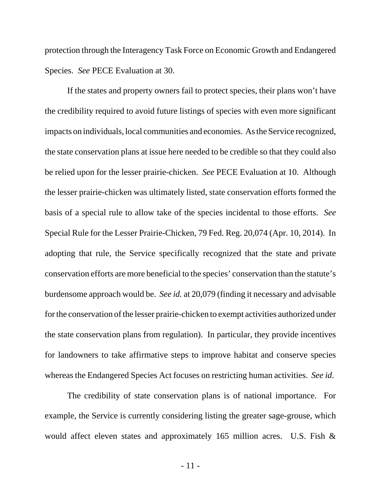protection through the Interagency Task Force on Economic Growth and Endangered Species. *See* PECE Evaluation at 30.

If the states and property owners fail to protect species, their plans won't have the credibility required to avoid future listings of species with even more significant impacts on individuals, local communities and economies. As the Service recognized, the state conservation plans at issue here needed to be credible so that they could also be relied upon for the lesser prairie-chicken. *See* PECE Evaluation at 10. Although the lesser prairie-chicken was ultimately listed, state conservation efforts formed the basis of a special rule to allow take of the species incidental to those efforts. *See* Special Rule for the Lesser Prairie-Chicken, 79 Fed. Reg. 20,074 (Apr. 10, 2014). In adopting that rule, the Service specifically recognized that the state and private conservation efforts are more beneficial to the species' conservation than the statute's burdensome approach would be. *See id.* at 20,079 (finding it necessary and advisable for the conservation of the lesser prairie-chicken to exempt activities authorized under the state conservation plans from regulation). In particular, they provide incentives for landowners to take affirmative steps to improve habitat and conserve species whereas the Endangered Species Act focuses on restricting human activities. *See id*.

The credibility of state conservation plans is of national importance. For example, the Service is currently considering listing the greater sage-grouse, which would affect eleven states and approximately 165 million acres. U.S. Fish &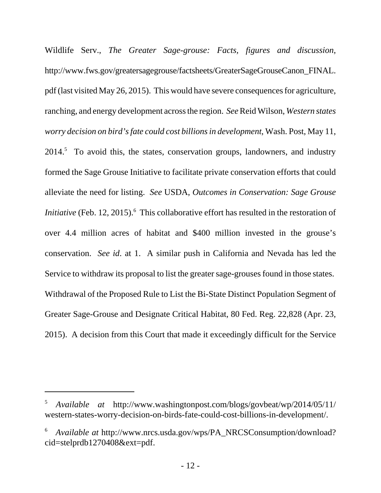Wildlife Serv., *The Greater Sage-grouse: Facts, figures and discussion*, http://www.fws.gov/greatersagegrouse/factsheets/GreaterSageGrouseCanon\_FINAL. pdf (last visited May 26, 2015). This would have severe consequences for agriculture, ranching, and energy development across the region. *See* Reid Wilson, *Western states worry decision on bird's fate could cost billions in development*, Wash. Post, May 11,  $2014<sup>5</sup>$  To avoid this, the states, conservation groups, landowners, and industry formed the Sage Grouse Initiative to facilitate private conservation efforts that could alleviate the need for listing. *See* USDA, *Outcomes in Conservation: Sage Grouse Initiative* (Feb. 12, 2015).<sup>6</sup> This collaborative effort has resulted in the restoration of over 4.4 million acres of habitat and \$400 million invested in the grouse's conservation. *See id*. at 1. A similar push in California and Nevada has led the Service to withdraw its proposal to list the greater sage-grouses found in those states. Withdrawal of the Proposed Rule to List the Bi-State Distinct Population Segment of Greater Sage-Grouse and Designate Critical Habitat, 80 Fed. Reg. 22,828 (Apr. 23, 2015). A decision from this Court that made it exceedingly difficult for the Service

<sup>5</sup> *Available at* http://www.washingtonpost.com/blogs/govbeat/wp/2014/05/11/ western-states-worry-decision-on-birds-fate-could-cost-billions-in-development/.

<sup>6</sup> *Available at* http://www.nrcs.usda.gov/wps/PA\_NRCSConsumption/download? cid=stelprdb1270408&ext=pdf.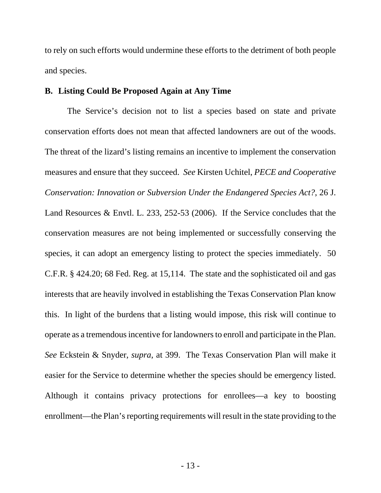to rely on such efforts would undermine these efforts to the detriment of both people and species.

#### **B. Listing Could Be Proposed Again at Any Time**

The Service's decision not to list a species based on state and private conservation efforts does not mean that affected landowners are out of the woods. The threat of the lizard's listing remains an incentive to implement the conservation measures and ensure that they succeed. *See* Kirsten Uchitel, *PECE and Cooperative Conservation: Innovation or Subversion Under the Endangered Species Act?*, 26 J. Land Resources & Envtl. L. 233, 252-53 (2006). If the Service concludes that the conservation measures are not being implemented or successfully conserving the species, it can adopt an emergency listing to protect the species immediately. 50 C.F.R. § 424.20; 68 Fed. Reg. at 15,114. The state and the sophisticated oil and gas interests that are heavily involved in establishing the Texas Conservation Plan know this. In light of the burdens that a listing would impose, this risk will continue to operate as a tremendous incentive for landowners to enroll and participate in the Plan. *See* Eckstein & Snyder, *supra*, at 399. The Texas Conservation Plan will make it easier for the Service to determine whether the species should be emergency listed. Although it contains privacy protections for enrollees—a key to boosting enrollment—the Plan's reporting requirements will result in the state providing to the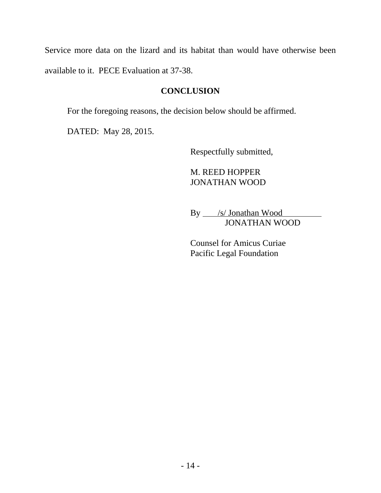Service more data on the lizard and its habitat than would have otherwise been available to it. PECE Evaluation at 37-38.

# **CONCLUSION**

For the foregoing reasons, the decision below should be affirmed.

DATED: May 28, 2015.

Respectfully submitted,

# M. REED HOPPER JONATHAN WOOD

By *\_\_/s/* Jonathan Wood JONATHAN WOOD

Counsel for Amicus Curiae Pacific Legal Foundation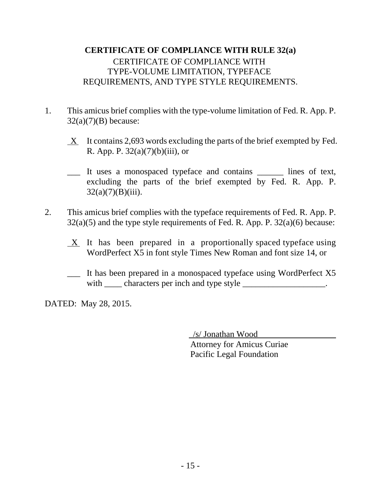# **CERTIFICATE OF COMPLIANCE WITH RULE 32(a)** CERTIFICATE OF COMPLIANCE WITH TYPE-VOLUME LIMITATION, TYPEFACE REQUIREMENTS, AND TYPE STYLE REQUIREMENTS.

- 1. This amicus brief complies with the type-volume limitation of Fed. R. App. P.  $32(a)(7)(B)$  because:
	- $X$  It contains 2,693 words excluding the parts of the brief exempted by Fed. R. App. P.  $32(a)(7)(b)(iii)$ , or
	- \_\_\_ It uses a monospaced typeface and contains \_\_\_\_\_\_ lines of text, excluding the parts of the brief exempted by Fed. R. App. P.  $32(a)(7)(B)(iii)$ .
- 2. This amicus brief complies with the typeface requirements of Fed. R. App. P.  $32(a)(5)$  and the type style requirements of Fed. R. App. P.  $32(a)(6)$  because:
	- $X$  It has been prepared in a proportionally spaced typeface using WordPerfect X5 in font style Times New Roman and font size 14, or
	- \_\_\_ It has been prepared in a monospaced typeface using WordPerfect X5 with <u>characters</u> per inch and type style

DATED: May 28, 2015.

 /s/ Jonathan Wood Attorney for Amicus Curiae Pacific Legal Foundation